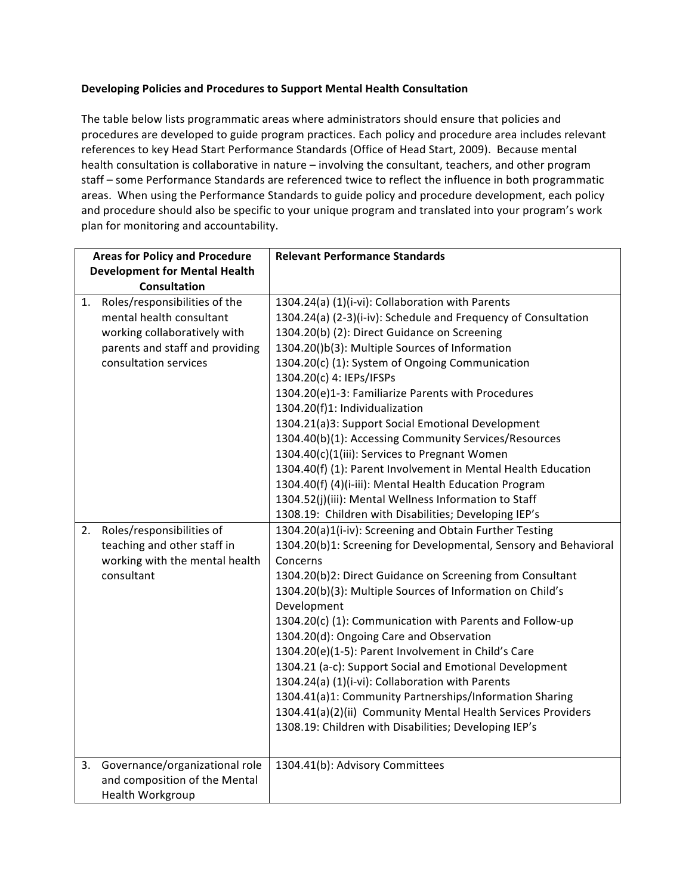## Developing Policies and Procedures to Support Mental Health Consultation

The table below lists programmatic areas where administrators should ensure that policies and procedures are developed to guide program practices. Each policy and procedure area includes relevant references to key Head Start Performance Standards (Office of Head Start, 2009). Because mental health consultation is collaborative in nature – involving the consultant, teachers, and other program staff - some Performance Standards are referenced twice to reflect the influence in both programmatic areas. When using the Performance Standards to guide policy and procedure development, each policy and procedure should also be specific to your unique program and translated into your program's work plan for monitoring and accountability.

| <b>Areas for Policy and Procedure</b> |                                 | <b>Relevant Performance Standards</b>                            |
|---------------------------------------|---------------------------------|------------------------------------------------------------------|
| <b>Development for Mental Health</b>  |                                 |                                                                  |
| Consultation                          |                                 |                                                                  |
| 1.                                    | Roles/responsibilities of the   | 1304.24(a) (1)(i-vi): Collaboration with Parents                 |
|                                       | mental health consultant        | 1304.24(a) (2-3)(i-iv): Schedule and Frequency of Consultation   |
|                                       | working collaboratively with    | 1304.20(b) (2): Direct Guidance on Screening                     |
|                                       | parents and staff and providing | 1304.20()b(3): Multiple Sources of Information                   |
|                                       | consultation services           | 1304.20(c) (1): System of Ongoing Communication                  |
|                                       |                                 | 1304.20(c) 4: IEPs/IFSPs                                         |
|                                       |                                 | 1304.20(e)1-3: Familiarize Parents with Procedures               |
|                                       |                                 | 1304.20(f)1: Individualization                                   |
|                                       |                                 | 1304.21(a)3: Support Social Emotional Development                |
|                                       |                                 | 1304.40(b)(1): Accessing Community Services/Resources            |
|                                       |                                 | 1304.40(c)(1(iii): Services to Pregnant Women                    |
|                                       |                                 | 1304.40(f) (1): Parent Involvement in Mental Health Education    |
|                                       |                                 | 1304.40(f) (4)(i-iii): Mental Health Education Program           |
|                                       |                                 | 1304.52(j)(iii): Mental Wellness Information to Staff            |
|                                       |                                 | 1308.19: Children with Disabilities; Developing IEP's            |
| 2.                                    | Roles/responsibilities of       | 1304.20(a)1(i-iv): Screening and Obtain Further Testing          |
|                                       | teaching and other staff in     | 1304.20(b)1: Screening for Developmental, Sensory and Behavioral |
|                                       | working with the mental health  | Concerns                                                         |
|                                       | consultant                      | 1304.20(b)2: Direct Guidance on Screening from Consultant        |
|                                       |                                 | 1304.20(b)(3): Multiple Sources of Information on Child's        |
|                                       |                                 | Development                                                      |
|                                       |                                 | 1304.20(c) (1): Communication with Parents and Follow-up         |
|                                       |                                 | 1304.20(d): Ongoing Care and Observation                         |
|                                       |                                 | 1304.20(e)(1-5): Parent Involvement in Child's Care              |
|                                       |                                 | 1304.21 (a-c): Support Social and Emotional Development          |
|                                       |                                 | 1304.24(a) (1)(i-vi): Collaboration with Parents                 |
|                                       |                                 | 1304.41(a)1: Community Partnerships/Information Sharing          |
|                                       |                                 | 1304.41(a)(2)(ii) Community Mental Health Services Providers     |
|                                       |                                 | 1308.19: Children with Disabilities; Developing IEP's            |
|                                       |                                 |                                                                  |
| 3.                                    | Governance/organizational role  | 1304.41(b): Advisory Committees                                  |
|                                       | and composition of the Mental   |                                                                  |
|                                       | Health Workgroup                |                                                                  |